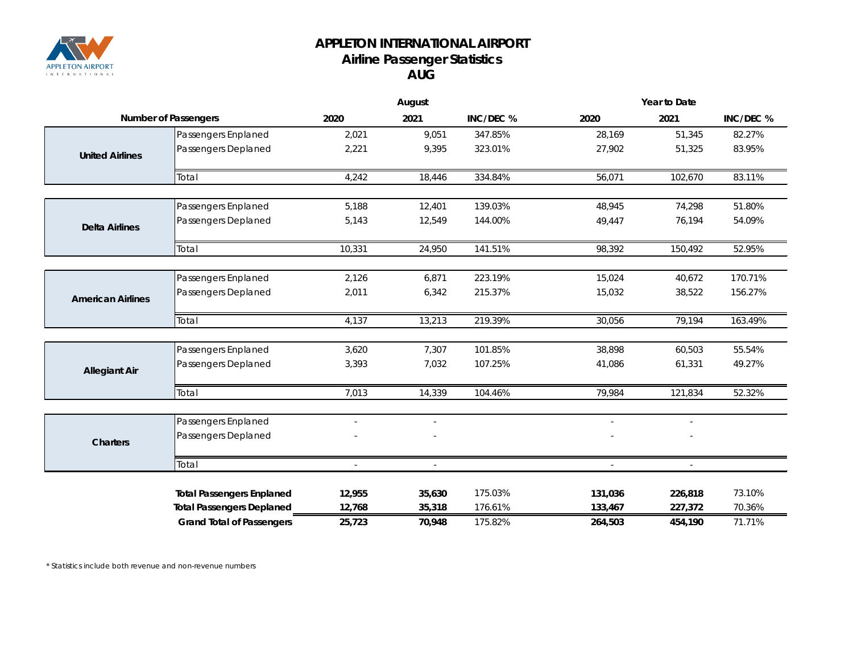

## **APPLETON INTERNATIONAL AIRPORT Airline Passenger Statistics AUG**

|                             |                                  | August         |                          |           | Year to Date   |                          |           |  |
|-----------------------------|----------------------------------|----------------|--------------------------|-----------|----------------|--------------------------|-----------|--|
| <b>Number of Passengers</b> |                                  | 2020           | 2021                     | INC/DEC % | 2020           | 2021                     | INC/DEC % |  |
|                             | Passengers Enplaned              | 2,021          | 9,051                    | 347.85%   | 28,169         | 51,345                   | 82.27%    |  |
| <b>United Airlines</b>      | Passengers Deplaned              | 2,221          | 9,395                    | 323.01%   | 27,902         | 51,325                   | 83.95%    |  |
|                             | Total                            | 4,242          | 18,446                   | 334.84%   | 56,071         | 102,670                  | 83.11%    |  |
|                             |                                  |                |                          |           |                |                          |           |  |
|                             | Passengers Enplaned              | 5,188          | 12,401                   | 139.03%   | 48,945         | 74,298                   | 51.80%    |  |
| <b>Delta Airlines</b>       | Passengers Deplaned              | 5,143          | 12,549                   | 144.00%   | 49,447         | 76,194                   | 54.09%    |  |
|                             | Total                            | 10,331         | 24,950                   | 141.51%   | 98,392         | 150,492                  | 52.95%    |  |
|                             |                                  |                |                          |           |                |                          |           |  |
|                             | Passengers Enplaned              | 2,126          | 6,871                    | 223.19%   | 15,024         | 40,672                   | 170.71%   |  |
| <b>American Airlines</b>    | Passengers Deplaned              | 2,011          | 6,342                    | 215.37%   | 15,032         | 38,522                   | 156.27%   |  |
|                             | Total                            | 4,137          | 13,213                   | 219.39%   | 30,056         | 79,194                   | 163.49%   |  |
|                             |                                  |                |                          |           |                |                          |           |  |
|                             | Passengers Enplaned              | 3,620          | 7,307                    | 101.85%   | 38,898         | 60,503                   | 55.54%    |  |
| <b>Allegiant Air</b>        | Passengers Deplaned              | 3,393          | 7,032                    | 107.25%   | 41,086         | 61,331                   | 49.27%    |  |
|                             | Total                            | 7,013          | 14,339                   | 104.46%   | 79,984         | 121,834                  | 52.32%    |  |
|                             |                                  |                |                          |           |                |                          |           |  |
|                             | Passengers Enplaned              |                | $\overline{\phantom{a}}$ |           | $\sim$         | $\overline{\phantom{a}}$ |           |  |
| <b>Charters</b>             | Passengers Deplaned              |                |                          |           |                |                          |           |  |
|                             | Total                            | $\overline{a}$ | $\overline{\phantom{a}}$ |           | $\overline{a}$ | $\overline{a}$           |           |  |
|                             |                                  |                |                          |           |                |                          |           |  |
|                             | <b>Total Passengers Enplaned</b> | 12,955         | 35,630                   | 175.03%   | 131,036        | 226,818                  | 73.10%    |  |
|                             | <b>Total Passengers Deplaned</b> | 12,768         | 35,318                   | 176.61%   | 133,467        | 227,372                  | 70.36%    |  |
|                             | <b>Grand Total of Passengers</b> | 25,723         | 70,948                   | 175.82%   | 264,503        | 454,190                  | 71.71%    |  |

*\* Statistics include both revenue and non-revenue numbers*